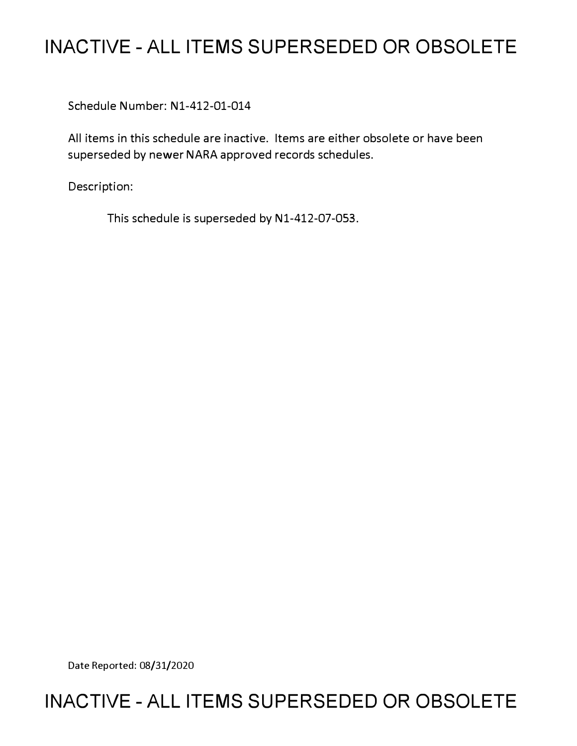# **INACTIVE - ALL ITEMS SUPERSEDED OR OBSOLETE**

Schedule Number: Nl-412-01-014

All items in this schedule are inactive. Items are either obsolete or have been superseded by newer NARA approved records schedules.

Description:

This schedule is superseded by N1-412-07-053.

Date Reported: 08/31/2020

## **INACTIVE - ALL ITEMS SUPERSEDED OR OBSOLETE**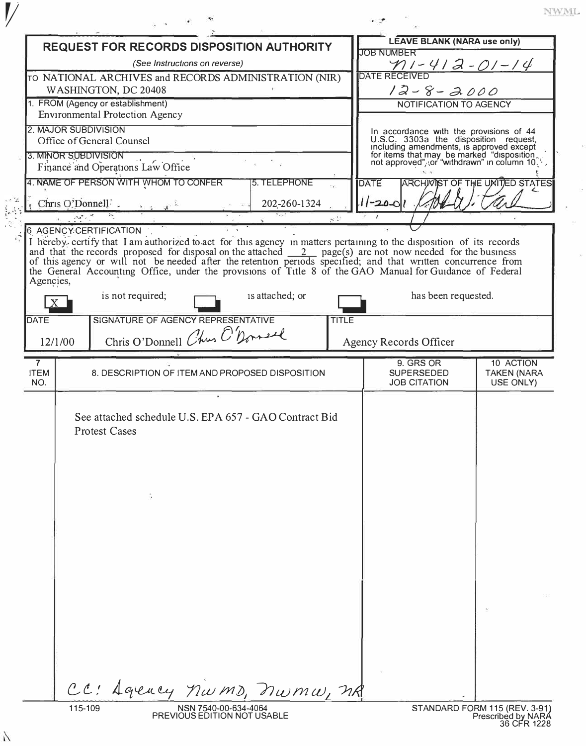|                                                                                                                                                                                                                                          | <b>REQUEST FOR RECORDS DISPOSITION AUTHORITY</b>                                       |                        |                                                     |                                                       |                        | <b>LEAVE BLANK (NARA use only)</b>                                                                                                                                                                                          |                                                     |
|------------------------------------------------------------------------------------------------------------------------------------------------------------------------------------------------------------------------------------------|----------------------------------------------------------------------------------------|------------------------|-----------------------------------------------------|-------------------------------------------------------|------------------------|-----------------------------------------------------------------------------------------------------------------------------------------------------------------------------------------------------------------------------|-----------------------------------------------------|
|                                                                                                                                                                                                                                          |                                                                                        |                        |                                                     |                                                       |                        | <b>JOB NUMBER</b>                                                                                                                                                                                                           |                                                     |
|                                                                                                                                                                                                                                          | (See Instructions on reverse)<br>TO NATIONAL ARCHIVES and RECORDS ADMINISTRATION (NIR) |                        |                                                     |                                                       |                        | $\frac{\gamma_1-\gamma_2-\gamma_1-\gamma_1-\gamma_1}{\text{DATE RECEIVED}}$                                                                                                                                                 |                                                     |
|                                                                                                                                                                                                                                          | WASHINGTON, DC 20408                                                                   |                        |                                                     |                                                       |                        | $12 - 8 - 2000$                                                                                                                                                                                                             |                                                     |
|                                                                                                                                                                                                                                          | 1. FROM (Agency or establishment)                                                      |                        |                                                     |                                                       |                        | NOTIFICATION TO AGENCY                                                                                                                                                                                                      |                                                     |
|                                                                                                                                                                                                                                          | <b>Environmental Protection Agency</b>                                                 |                        |                                                     |                                                       |                        |                                                                                                                                                                                                                             |                                                     |
|                                                                                                                                                                                                                                          | 2. MAJOR SUBDIVISION                                                                   |                        |                                                     |                                                       |                        |                                                                                                                                                                                                                             |                                                     |
|                                                                                                                                                                                                                                          | Office of General Counsel                                                              |                        |                                                     |                                                       |                        | In accordance with the provisions of 44<br>U.S.C. 3303a the disposition request,<br>including amendments, is approved except<br>for items that may be marked "disposition not approved", for "withdrawn" in column $10\%$ . |                                                     |
| 3. MINOR SUBDIVISION<br>Finance and Operations Law Office<br>a a                                                                                                                                                                         |                                                                                        |                        |                                                     |                                                       |                        |                                                                                                                                                                                                                             |                                                     |
| 4. NAME OF PERSON WITH WHOM TO CONFER<br>5. TELEPHONE                                                                                                                                                                                    |                                                                                        |                        |                                                     |                                                       |                        | DATE                                                                                                                                                                                                                        | <b>ARCHWIST OF THE UNITED STATES</b>                |
| Chris O'Donnell' $\cdots$<br>202-260-1324                                                                                                                                                                                                |                                                                                        |                        |                                                     |                                                       |                        | $11 - 20 - 01$                                                                                                                                                                                                              |                                                     |
|                                                                                                                                                                                                                                          |                                                                                        |                        |                                                     |                                                       | $\mathcal{L}$          |                                                                                                                                                                                                                             |                                                     |
|                                                                                                                                                                                                                                          |                                                                                        | 6 AGENCY CERTIFICATION |                                                     |                                                       |                        |                                                                                                                                                                                                                             |                                                     |
| I hereby certify that I am authorized to act for this agency in matters pertaining to the disposition of its records<br>and that the records proposed for disposal on the attached $\frac{2}{\sqrt{2}}$ page(s) are not now needed for t |                                                                                        |                        |                                                     |                                                       |                        |                                                                                                                                                                                                                             |                                                     |
| of this agency or will not be needed after the retention periods specified; and that written concurrence from                                                                                                                            |                                                                                        |                        |                                                     |                                                       |                        |                                                                                                                                                                                                                             |                                                     |
| Agencies,                                                                                                                                                                                                                                |                                                                                        |                        |                                                     |                                                       |                        | the General Accounting Office, under the provisions of Title 8 of the GAO Manual for Guidance of Federal                                                                                                                    |                                                     |
|                                                                                                                                                                                                                                          |                                                                                        | is not required;       |                                                     | is attached; or                                       |                        | has been requested.                                                                                                                                                                                                         |                                                     |
|                                                                                                                                                                                                                                          |                                                                                        |                        |                                                     |                                                       |                        |                                                                                                                                                                                                                             |                                                     |
| <b>DATE</b>                                                                                                                                                                                                                              |                                                                                        |                        | SIGNATURE OF AGENCY REPRESENTATIVE                  |                                                       | <b>TITLE</b>           |                                                                                                                                                                                                                             |                                                     |
|                                                                                                                                                                                                                                          | Chris O'Donnell Chus O'Donnell<br>12/1/00                                              |                        |                                                     |                                                       | Agency Records Officer |                                                                                                                                                                                                                             |                                                     |
| $\overline{7}$                                                                                                                                                                                                                           |                                                                                        |                        |                                                     |                                                       |                        | 9. GRS OR                                                                                                                                                                                                                   | 10 ACTION                                           |
| <b>ITEM</b><br>NO.                                                                                                                                                                                                                       |                                                                                        |                        |                                                     | 8. DESCRIPTION OF ITEM AND PROPOSED DISPOSITION       |                        | <b>SUPERSEDED</b><br><b>JOB CITATION</b>                                                                                                                                                                                    | <b>TAKEN (NARA</b><br>USE ONLY)                     |
|                                                                                                                                                                                                                                          |                                                                                        |                        |                                                     |                                                       |                        |                                                                                                                                                                                                                             |                                                     |
|                                                                                                                                                                                                                                          |                                                                                        |                        |                                                     |                                                       |                        |                                                                                                                                                                                                                             |                                                     |
|                                                                                                                                                                                                                                          |                                                                                        |                        |                                                     | See attached schedule U.S. EPA 657 - GAO Contract Bid |                        |                                                                                                                                                                                                                             |                                                     |
|                                                                                                                                                                                                                                          |                                                                                        | <b>Protest Cases</b>   |                                                     |                                                       |                        |                                                                                                                                                                                                                             |                                                     |
|                                                                                                                                                                                                                                          |                                                                                        |                        |                                                     |                                                       |                        |                                                                                                                                                                                                                             |                                                     |
|                                                                                                                                                                                                                                          |                                                                                        |                        |                                                     |                                                       |                        |                                                                                                                                                                                                                             |                                                     |
|                                                                                                                                                                                                                                          |                                                                                        |                        |                                                     |                                                       |                        |                                                                                                                                                                                                                             |                                                     |
|                                                                                                                                                                                                                                          |                                                                                        |                        |                                                     |                                                       |                        |                                                                                                                                                                                                                             |                                                     |
|                                                                                                                                                                                                                                          |                                                                                        |                        |                                                     |                                                       |                        |                                                                                                                                                                                                                             |                                                     |
|                                                                                                                                                                                                                                          |                                                                                        |                        |                                                     |                                                       |                        |                                                                                                                                                                                                                             |                                                     |
|                                                                                                                                                                                                                                          |                                                                                        |                        |                                                     |                                                       |                        |                                                                                                                                                                                                                             |                                                     |
|                                                                                                                                                                                                                                          |                                                                                        |                        |                                                     |                                                       |                        |                                                                                                                                                                                                                             |                                                     |
|                                                                                                                                                                                                                                          |                                                                                        |                        |                                                     |                                                       |                        |                                                                                                                                                                                                                             |                                                     |
|                                                                                                                                                                                                                                          |                                                                                        |                        |                                                     |                                                       |                        |                                                                                                                                                                                                                             |                                                     |
|                                                                                                                                                                                                                                          |                                                                                        |                        |                                                     |                                                       |                        |                                                                                                                                                                                                                             |                                                     |
|                                                                                                                                                                                                                                          |                                                                                        |                        |                                                     |                                                       |                        |                                                                                                                                                                                                                             |                                                     |
|                                                                                                                                                                                                                                          |                                                                                        |                        |                                                     |                                                       |                        |                                                                                                                                                                                                                             |                                                     |
|                                                                                                                                                                                                                                          |                                                                                        |                        |                                                     |                                                       |                        |                                                                                                                                                                                                                             |                                                     |
|                                                                                                                                                                                                                                          |                                                                                        |                        |                                                     |                                                       |                        |                                                                                                                                                                                                                             |                                                     |
|                                                                                                                                                                                                                                          |                                                                                        |                        |                                                     |                                                       |                        |                                                                                                                                                                                                                             |                                                     |
|                                                                                                                                                                                                                                          | CL                                                                                     |                        |                                                     | Agency nwms, nwmw, nR                                 |                        |                                                                                                                                                                                                                             |                                                     |
|                                                                                                                                                                                                                                          | 115-109                                                                                |                        | NSN 7540-00-634-4064<br>PREVIOUS EDITION NOT USABLE |                                                       |                        |                                                                                                                                                                                                                             | STANDARD FORM 115 (REV. 3-91)<br>Prescribed by NARA |

 $\overline{\phantom{a}}$ 

 $\boldsymbol{V}$ 

 $\lambda$ 

 $\ensuremath{\text{NWML}}$ 

 $\bar{E}$ 

 $\bar{\mathcal{R}}$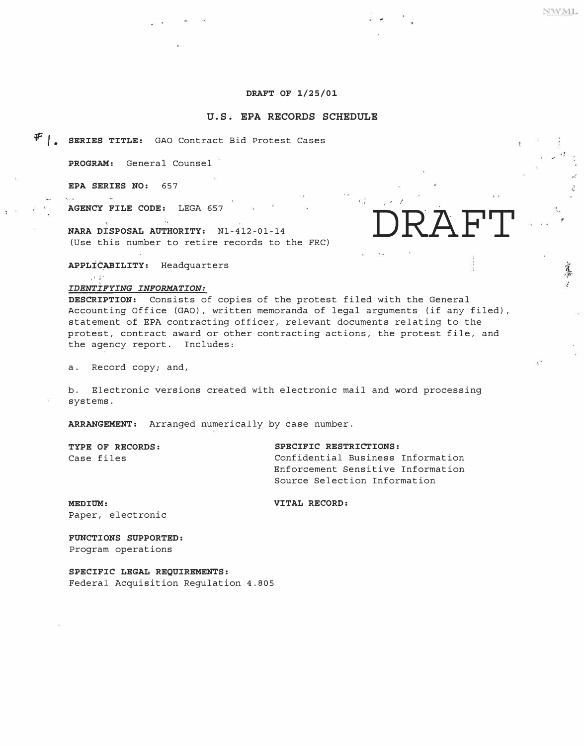### **DRAFT OF 1/25/01**

#### **U.S. EPA RECORDS SCHEDULE**

*,F f* • **SERIES TITLE:** GAO Contract Bid Protest Cases

PROGRAM: General Counsel

**EPA SERIES NO:** 657

**AGENCY FILE CODE:** LEGA 657

**NARA DISPOSAL AUTHORITY:**  Nl-412-01-14 (Use this number to retire records to the FRC)

**APPLIC�ILITY:** Headquarters

#### , <sup>1</sup>J· *IDENTIFYING INFORMATION:*

**DESCRIPTION:** Consists of copies of the protest filed with the General Accounting Office (GAO), written memoranda of legal arguments (if any filed), statement of EPA contracting officer, relevant documents relating to the protest, contract award or other contracting actions, the protest file, and the agency report. Includes:

a. Record copy; and,

b. Electronic versions created with electronic mail and word processing systems.

**ARRANGEMENT:** Arranged numerically by case number.

**TYPE OF RECORDS: SPECIFIC RESTRICTIONS:** 

Confidential Business Information Enforcement Sensitive Information Source Selection Information

*I l*

**DRAFT**

**MEDIUM: VITAL RECORD:** Paper, electronic

**FUNCTIONS SUPPORTED:**  Program operations

**SPECIFIC LEGAL REQUIREMENTS:**  Federal Acquisition Regulation 4.805 NWML

*.,.f* 

*f* 

蘆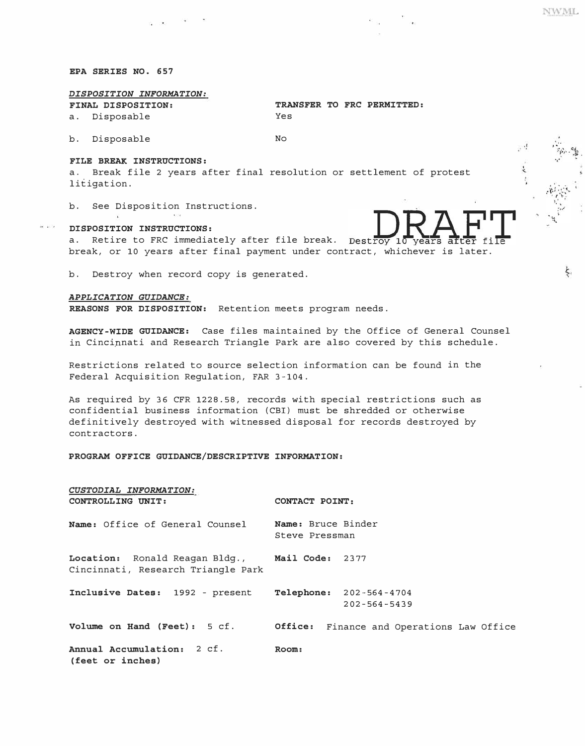**NWML** 

ţ.

#### *EPA SERIES NO. 657*

### *DISPOSITION INFORMATION:*

*FINAL DISPOSITION: TRANSFER TO FRC PERMITTED:*  a. Disposable Yes

b. Disposable *No* 

#### *FILE BREAK INSTRUCTIONS:*

a. Break file 2 years after final resolution or settlement of protest litigation.

b. See Disposition Instructions.

#### *DISPOSITION INSTRUCTIONS:*

a. Retire to FRC immediately after file break. Destroy 10 years break, or 10 years after final payment under contract, whichever is later.

b. Destroy when record copy is generated.

 $\label{eq:zeta} \xi(\vec{a})\xi^{\prime}=-\xi(\vec{a})$ 

#### *APPLICATION GUIDANCE:*

*REASONS FOR DISPOSITION:* Retention meets program needs.

*AGENCY-WIDE GUIDANCE:* Case files maintained by the Office of General Counsel in Cincipnati and Research Triangle Park are also covered by this schedule.

Restrictions related to source selection information can be found in the Federal Acquisition Regulation, FAR 3-104.

As required by 36 CFR 1228. 58, records with special restrictions such as confidential business information (CBI) must be shredded or otherwise definitively destroyed with witnessed disposal for records destroyed by contractors.

*PROGRAM OFFICE GUIDANCE/DESCRIPTIVE INFORMATION:* 

| CUSTODIAL INFORMATION:<br>CONTROLLING UNIT:                                          | CONTACT POINT:                       |                                                      |  |  |
|--------------------------------------------------------------------------------------|--------------------------------------|------------------------------------------------------|--|--|
| Name: Office of General Counsel                                                      | Name: Bruce Binder<br>Steve Pressman |                                                      |  |  |
| Location: Ronald Reagan Bldg., Mail Code: 2377<br>Cincinnati, Research Triangle Park |                                      |                                                      |  |  |
| Inclusive Dates: 1992 - present                                                      |                                      | <b>Telephone:</b> 202-564-4704<br>$202 - 564 - 5439$ |  |  |
| Volume on Hand (Feet): 5 cf.                                                         | Office:                              | Finance and Operations Law Office                    |  |  |
| Annual Accumulation: 2 cf.<br>(feet or inches)                                       | Room:                                |                                                      |  |  |